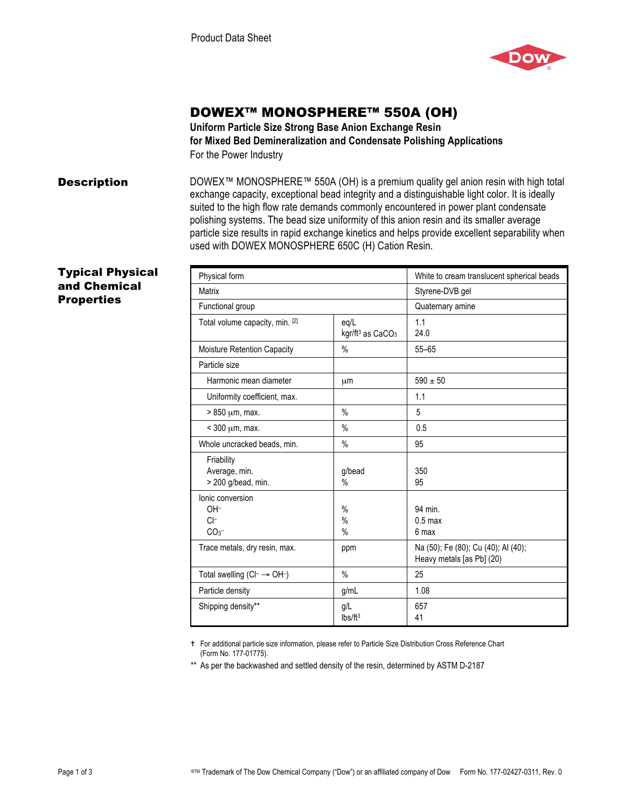

# DOWEX™ MONOSPHERE™ 550A (OH)

**Uniform Particle Size Strong Base Anion Exchange Resin for Mixed Bed Demineralization and Condensate Polishing Applications**  For the Power Industry

**Description** DOWEX<sup>™</sup> MONOSPHERE<sup>™</sup> 550A (OH) is a premium quality gel anion resin with high total exchange capacity, exceptional bead integrity and a distinguishable light color. It is ideally suited to the high flow rate demands commonly encountered in power plant condensate polishing systems. The bead size uniformity of this anion resin and its smaller average particle size results in rapid exchange kinetics and helps provide excellent separability when used with DOWEX MONOSPHERE 650C (H) Cation Resin.

## Typical Physical and Chemical **Properties**

| Physical form                                       |                                                  | White to cream translucent spherical beads                       |
|-----------------------------------------------------|--------------------------------------------------|------------------------------------------------------------------|
| <b>Matrix</b>                                       |                                                  | Styrene-DVB gel                                                  |
| Functional group                                    |                                                  | Quaternary amine                                                 |
| Total volume capacity, min. [2]                     | eq/L<br>kgr/ft <sup>3</sup> as CaCO <sub>3</sub> | 1.1<br>24.0                                                      |
| Moisture Retention Capacity                         | $\%$                                             | $55 - 65$                                                        |
| Particle size                                       |                                                  |                                                                  |
| Harmonic mean diameter                              | μm                                               | $590 \pm 50$                                                     |
| Uniformity coefficient, max.                        |                                                  | 1.1                                                              |
| $> 850 \mu m$ , max.                                | $\%$                                             | 5                                                                |
| $<$ 300 $\mu$ m, max.                               | $\%$                                             | 0.5                                                              |
| Whole uncracked beads, min.                         | $\%$                                             | 95                                                               |
| Friability<br>Average, min.<br>$>$ 200 g/bead, min. | g/bead<br>$\%$                                   | 350<br>95                                                        |
| Ionic conversion<br>OH-<br>$C$ -<br>CO <sub>3</sub> | $\frac{0}{0}$<br>$\%$<br>$\%$                    | 94 min.<br>$0.5$ max<br>6 max                                    |
| Trace metals, dry resin, max.                       | ppm                                              | Na (50); Fe (80); Cu (40); Al (40);<br>Heavy metals [as Pb] (20) |
| Total swelling $(CI \rightarrow OH^{-})$            | $\%$                                             | 25                                                               |
| Particle density                                    | g/mL                                             | 1.08                                                             |
| Shipping density**                                  | g/L<br>lbs/ft <sup>3</sup>                       | 657<br>41                                                        |

 For additional particle size information, please refer to Particle Size Distribution Cross Reference Chart (Form No. 177-01775).

\*\* As per the backwashed and settled density of the resin, determined by ASTM D-2187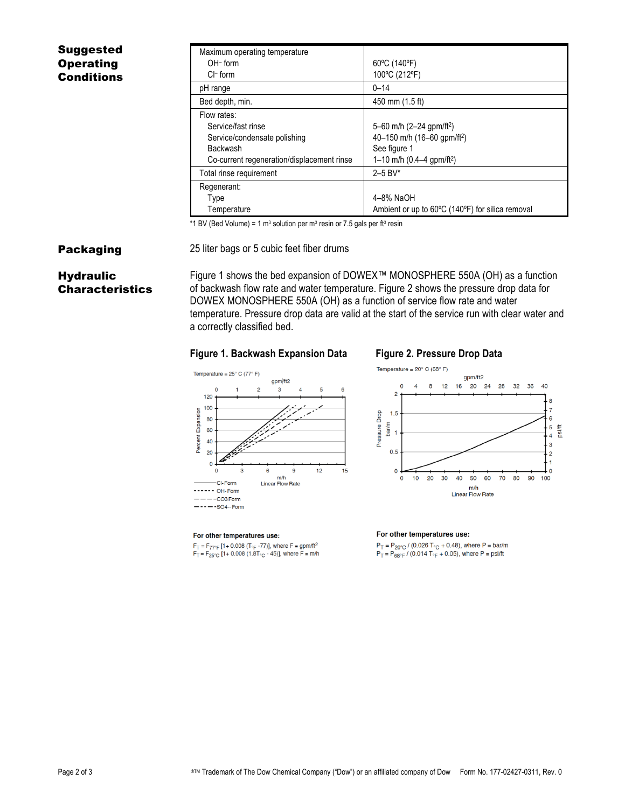## Suggested **Operating Conditions**

| Maximum operating temperature              |                                                  |
|--------------------------------------------|--------------------------------------------------|
| $OH$ -form                                 | 60°C (140°F)                                     |
| $Cl^-$ form                                | 100°C (212°F)                                    |
| pH range                                   | $0 - 14$                                         |
| Bed depth, min.                            | 450 mm (1.5 ft)                                  |
| Flow rates:                                |                                                  |
| Service/fast rinse                         | 5-60 m/h (2-24 gpm/ft <sup>2</sup> )             |
| Service/condensate polishing               | 40-150 m/h (16-60 gpm/ft <sup>2</sup> )          |
| Backwash                                   | See figure 1                                     |
| Co-current regeneration/displacement rinse | 1–10 m/h (0.4–4 gpm/ft <sup>2</sup> )            |
| Total rinse requirement                    | $2 - 5$ BV*                                      |
| Regenerant:                                |                                                  |
| Type                                       | 4–8% NaOH                                        |
| Temperature                                | Ambient or up to 60°C (140°F) for silica removal |

\*1 BV (Bed Volume) = 1 m<sup>3</sup> solution per m<sup>3</sup> resin or 7.5 gals per ft<sup>3</sup> resin

**Packaging** 25 liter bags or 5 cubic feet fiber drums

## **Hydraulic** Characteristics

Figure 1 shows the bed expansion of DOWEX™ MONOSPHERE 550A (OH) as a function of backwash flow rate and water temperature. Figure 2 shows the pressure drop data for DOWEX MONOSPHERE 550A (OH) as a function of service flow rate and water temperature. Pressure drop data are valid at the start of the service run with clear water and a correctly classified bed.

### **Figure 1. Backwash Expansion Data Figure 2. Pressure Drop Data**





#### For other temperatures use:

 $F_T = F_{77^{\circ}F}$  [1+ 0.008 (T<sub>°F</sub> -77)], where F = gpm/ft<sup>2</sup><br> $F_T = F_{25^{\circ}C}$  [1+ 0.008 (1.8T<sub>°C</sub> - 45)], where F = m/h

#### For other temperatures use:

 $P_T = P_{20\degree C} / (0.026 T_{\degree C} + 0.48)$ , where  $P = \text{bar/m}$ <br> $P_T = P_{68\degree F} / (0.014 T_{\degree F} + 0.05)$ , where  $P = \text{psift}$